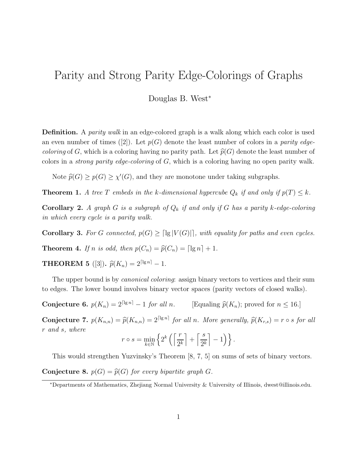## Parity and Strong Parity Edge-Colorings of Graphs

Douglas B. West<sup>∗</sup>

Definition. A *parity walk* in an edge-colored graph is a walk along which each color is used an even number of times ([2]). Let  $p(G)$  denote the least number of colors in a parity edge*coloring* of G, which is a coloring having no parity path. Let  $\hat{p}(G)$  denote the least number of colors in a *strong parity edge-coloring* of  $G$ , which is a coloring having no open parity walk.

Note  $\widehat{p}(G) \geq p(G) \geq \chi'(G)$ , and they are monotone under taking subgraphs.

**Theorem 1.** A tree T embeds in the k-dimensional hypercube  $Q_k$  if and only if  $p(T) \leq k$ .

**Corollary 2.** A graph G is a subgraph of  $Q_k$  if and only if G has a parity k-edge-coloring in which every cycle is a parity walk.

Corollary 3. For G connected,  $p(G) \geq \lceil \lg |V(G)| \rceil$ , with equality for paths and even cycles.

**Theorem 4.** If n is odd, then  $p(C_n) = \widehat{p}(C_n) = \lceil \lg n \rceil + 1$ .

**THEOREM 5** ([3]).  $\hat{p}(K_n) = 2^{\lceil \lg n \rceil} - 1$ .

The upper bound is by *canonical coloring*: assign binary vectors to vertices and their sum to edges. The lower bound involves binary vector spaces (parity vectors of closed walks).

**Conjecture 6.**  $p(K_n) = 2^{\lceil \lg n \rceil} - 1$  for all n. [Equaling  $\hat{p}(K_n)$ ; proved for  $n \leq 16$ .]

**Conjecture 7.**  $p(K_{n,n}) = \hat{p}(K_{n,n}) = 2^{\lceil \lg n \rceil}$  for all n. More generally,  $\hat{p}(K_{r,s}) = r \circ s$  for all r and s, where

$$
r \circ s = \min_{k \in \mathbb{N}} \left\{ 2^k \left( \left\lceil \frac{r}{2^k} \right\rceil + \left\lceil \frac{s}{2^k} \right\rceil - 1 \right) \right\}.
$$

This would strengthen Yuzvinsky's Theorem [8, 7, 5] on sums of sets of binary vectors.

**Conjecture 8.**  $p(G) = \widehat{p}(G)$  for every bipartite graph G.

<sup>∗</sup>Departments of Mathematics, Zhejiang Normal University & University of Illinois, dwest@illinois.edu.